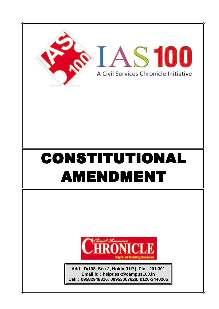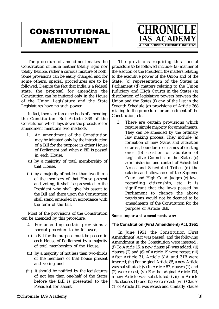# CONSTITUTIONAL AMENDMENT



The procedure of amendment makes the Constitution of India neither totally rigid nor totally flexible, rather a curious mixture of both. Some provisions can be easily changed and for some others, special procedures are to be followed. Despite the fact that India is a federal state, the proposal for amending the Constitution can be initiated only in the House of the Union Legislature and the State Legislatures have no such power.

In fact, there are three methods of amending the Constitution. But Article 368 of the Constitution which lays down the procedure for amendment mentions two methods:

- 1. An amendment of the Constitution may be initiated only by the introduction of a Bill for the purpose in either House of Parliament and when a Bill is passed in each House.
- (i) by a majority of total membership of that House.
- (ii) by a majority of not less than two-thirds of the members of that House present and voting, it shall be presented to the President who shall give his assent to the Bill and there upon the Constitution shall stand amended in accordance with the term of the Bill.

Most of the provisions of the Constitution can be amended by this procedure.

- 2. For amending certain provisions a special procedure to be followed,
- (i) a Bill for the purpose must be passed in each House of Parliament by a majority of total membership of the House,
- (ii) by a majority of not less than two-thirds of the members of that house present and voting and
- (iii) it should be notified by the legislatures of not less than one-half of the States before the Bill is presented to the President for assent.

The provisions requiring this special procedure to be followed include- (a) manner of the election of the President, (b) matters relating to the executive power of the Union and of the State, (c) representation of the States in Parliament (d) matters relating to the Union Judiciary and High Courts in the States (e) distribution of legislative powers between the Union and the States (f) any of the List in the Seventh Schedule (g) provisions of Article 368 relating to the procedure for amendment of the Constitution, etc.

3. There are certain provisions which require simple majority for amendments. They can be amended by the ordinary law making process. They include (a) formation of new States and alteration of areas, boundaries or names of existing ones (b) creation or abolition of Legislative Councils in the States (c) administration and control of Scheduled Areas and Scheduled Tribes (d) the salaries and allowances of the Supreme Court and High Court Judges (e) laws regarding citizenship, etc. It is significant that the laws passed by Parliament to change the above provisions would not be deemed to be amendments of the Constitution for the purpose of Article 368.

# *Some important amendments are:*

# **The Constitution (First Amendment) Act, 1951**

In June 1951, the Constitution (First Amendment) Act was passed, and the following Amendment in the Constitution were inserted : (i) To Article 15, a new clause (4) was added: (ii) clauses (2) and (6) of Article 19 were recast; (iii) After Article 31, Article 31A and 31B were inserted; (iv) For original Article 85, a new Article was substituted; (v) In Article 87, clauses (1) and (2) were recast; (vi) For the original Article 174, a new Article was substituted; (vii) In Article 176, clauses (1) and (2) were recast: (viii) Clause (1) of Article 341 was recast; and similarly, clause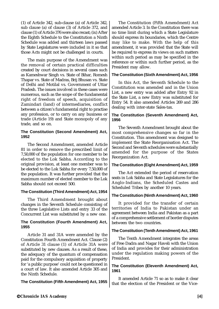(1) of Article 342, sub-clause (a) of Article 342, sub clause (a) of clause (3) of Article 372, and clause (1) of Article 376 were also recast; (ix) After the Eighth Schedule to the Constitution a Ninth Schedule was added and thirteen laws passed by State Legislatures were included in it so that those Acts might not be challenged in courts.

The main purpose of the Amendment was the removal of certain practical difficulties created by court decisions in several cases such as Kameshwar Singh vs. State of Bihar, Romesh Thapar vs. State of Madras, Brij Bhusan vs. State of Delhi and Motilal vs. Government of Uttar Pradesh. The issues involved in these cases were numerous, such as the scope of the fundamental right of freedom of speech, acquisition of Zamindari (land) of intermediaries, conflict between a citizen's fundamental right to practise any profession, or to carry on any business or trade (Article 19) and State monopoly of any trade, and so on.

#### **The Constitution (Second Amendment) Act, 1952**

The Second Amendment, amended Article 81 in order to remove the prescribed limit of 7,50,000 of the population for one member to be elected to the Lok Sabha. According to the original provision, at least one member was to be elected to the Lok Sabha for every 7,50,000 of the population. It was further provided that the maximum number of elected member to the Lok Sabha should not exceed 500.

# **The Constitution (Third Amendment) Act, 1954**

The Third Amendment brought about changes in the Seventh Schedule consisting of the three Legislative Lists and entry 33 of the Concurrent List was substituted by a new one.

#### **The Constitution (Fourth Amendment) Act, 1955**

Article 31 and 31A were amended by the Constitution Fourth Amendment Act. Clause (2) of Article 31 clause (1) of Article 31A were substituted by new clauses. As a result of these, the adequacy of the quantum of compensation paid for the compulsory acquisition of property for 'a public purpose' could not be questioned in a court of law. It also amended Article 305 and the Ninth Schedule.

**The Constitution (Fifth Amendment) Act, 1955**

The Constitution (Fifth Amendment) Act amended Article 3. In the Constitution there was no time limit during which a State Legislature should express its boundaries, which the Centre may like to make. With the help of this amendment, it was provided that the State will be required to express its views on such matters within such period as may be specified in the reference or within such further period, as the President may allow.

# **The Constitution (Sixth Amendment) Act, 1956**

In this Act, the Seventh Schedule to the Constitution was amended and in the Union List, a new entry was added after Entry 92 in the State List, a new Entry was substituted for Entry 54. It also amended Articles 269 and 286 dealing with inter-state Sales-tax.

# **The Constitution (Seventh Amendment) Act, 1956**

The Seventh Amendment brought about the most comprehensive changes so far in the Constitution. This amendment was designed to implement the State Reorganisation Act. The Second and Seventh schedules were substantially amended for the purpose of the States Reorganization Act.

# **The Constitution (Eight Amendment) Act, 1959**

The Act extended the period of reservation seats in Lok Sabha and State Legislatures for the Anglo-Indians, the Scheduled Castes and Scheduled Tribes by another 10 years.

# **The Constitution (Ninth Amendment) Act, 1960**

It provided for the transfer of certain territories of India to Pakistan under an agreement between India and Pakistan as a part of a comprehensive settlement of border disputes between the two countries.

# **The Constitution (Tenth Amendment) Act, 1961**

The Tenth Amendment integrates the areas of Free Dadra and Nagar Haveli with the Union of India and provides for their administration under the regulation making powers of the President.

# **The Constitution (Eleventh Amendment) Act, 1961**

It amended Article 71 so as to make it clear that the election of the President or the Vice-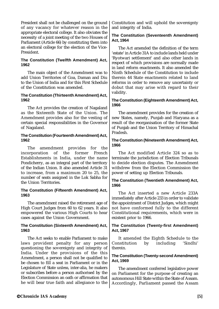President shall not be challenged on the ground of any vacancy for whatever reason in the appropriate electoral college. It also obviates the necessity of a joint meeting of the two Houses of Parliament (Article 66) by constituting them into an electoral college for the election of the Vice-President.

#### **The Constitution (Twelfth Amendment) Act, 1962**

The main object of the Amendment was to add Union Territories of Goa, Daman and Diu to the Union of India and for this First Schedule of the Constitution was amended.

### **The Constitution (Thirteenth Amendment) Act, 1962**

The Act provides the creation of Nagaland as the Sixteenth State of the Union. The Amendment provides also for the vesting of certain special responsibilities in the Governor of Nagaland.

# **The Constitution (Fourteenth Amendment) Act, 1962**

The amendment provides for the incorporation of the former French Establishments in India, under the name Pondicherry, as an integral part of the territory of the Indian Union. It also amended Article 31 to increase, from a maximum 20 to 25, the number of seats assigned in the Lok Sabha for the Union Territories.

### **The Constitution (Fifteenth Amendment) Act, 1963**

The amendment raised the retirement age of High Court Judges from 60 to 62 years. It also empowered the various High Courts to hear cases against the Union Government.

#### **The Constitution (Sixteenth Amendment) Act, 1963**

The Act seeks to enable Parliament to make laws provident penalty for any person questioning the sovereignty and integrity of India. Under the provisions of the this Amendment, a person shall not be qualified to be chosen to fill a seat in Parliament or in the Legislature of State unless, inter-alia, he makers or subscribes before a person authorised by the Election Commission an oath or affirmation that he will bear true faith and allegiance to the

Constitution and will uphold the sovereignty and integrity of India.

# **The Constitution (Seventeenth Amendment) Act, 1964**

The Act amended the definition of the term 'estate' in Article 31A to include lands held under 'Ryotwari settlement' and also other lands in respect of which provisions are normally made in land reform enactments. It also amended the Ninth Schedule of the Constitution to include therein 44 State enactments related to land reforms in order to remove any uncertainty or dobut that may arise with regard to their validity.

# **The Constitution (Eighteenth Amendment) Act, 1966**

The amendment provides for the creation of new States, namely, Punjab and Haryana as a result of the reorganisation of the former State of Punjab and the Union Territory of Himachal Pradesh.

### **The Constitution (Nineteenth Amendment) Act, 1966**

The Act modified Article 324 so as to terminate the jurisdiction of Election Tribunals to decide election disputes. The Amendment withdrew from the Election Commission the power of setting up Election Tribunals.

### **The Constitution (Twentieth Amendment) Act, 1966**

The Act inserted a new Article 233A immediately after Article 233 in order to validate the appointment of District Judges, which might not have conformed fully to the different Constitutional requirements, which were in existent prior to 1966.

### **The Constitution (Twenty-first Amendment) Act, 1967**

It amended the Eighth Schedule to the Constitution by including 'Sindhi' therein.

### **The Constitution (Twenty-second Amendment) Act, 1969**

The amendment conferred legislative power on Parliament for the purpose of creating an autonomous Hill State within the State of Assam. Accordingly, Parliament passed the Assam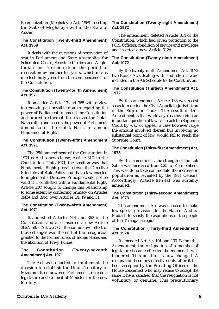Reorganization (Meghalaya) Act, 1969 to set up the State of Meghalaya within the State of Assam.

#### **The Constitution (Twenty-third Amendment) Act, 1969**

It deals with the questions of reservation of seat in Parliament and State Assemblies for Scheduled Castes, Scheduled Tribes and Anglo-Indian and further extend the period of reservation by another ten years, which means in effect thirty years from the commencement of the Constitution.

### **The Constitution (Twenty-fourth Amendment) Act, 1971**

It amended Article 13 and 368 with a view to removing all possible doubts regarding the power of Parliament to amend the Constitution and procedure thereof. It gets over the Golak Nath ruling and asserts the power of Parliament, denied to in the Golak Nath, to amend Fundamental Rights.

### **The Constitution (Twenty-fifth) Amendment Act, 1971**

The 25th amendment of the Constitution in 1971 added a new clause, Article 31C to the Constitution. Upto 1971, the position was that Fundamental Rights prevailed over the Directive Principles of State Policy and that a law enacted to implement a Directive Principle could not be valid if it conflicted with a Fundamental Right. Article 31C sought to change this relationship to some extent by conferring primacy on Articles 39(b) and 39(c) over Articles 14, 19 and 31.

### **The Constitution (Twenty-sixth Amendment) Act, 1971**

It abolished Articles 291 and 362 of the Constitution and also inserted a new Article 362A after Article 363. the cumulative effect of these changes was the end of the recognition granted to the former rulers of Indian States and the abolition of Privy Purses.

# **The Constitution (Twenty-seventh Amendment) Act, 1971**

The Act was enacted to implement the decision to establish the Union Territory of Mizoram. It empowered Parliament to create a legislature and Council of Minister for the new territory.

# **The Constitution (Twenty-eight Amendment) Act, 1972**

The amendment deleted Article 314 of the Constitution, which had given protection to the I.C.S. Officers, condition of service and privileges and inserted a new Article 312A.

# **The Constitution (Twenty-ninth Amendment) Act, 1972**

By the twenty-ninth Amendment Act, 1972 two Kerala Acts dealing with land reforms were included in the 9th Schedule to the Constitution.

#### **The Constitution (Thirtieth Amendment) Act, 1972**

By this amendment, Article 133 was recast so as to redefine the Civil Appellate Jurisdiction of the Supreme Court. The result of this Amendment is that while any case involving an important question of law can reach the Supreme Court by way of appeal, a case however large the amount involved therein but involving no substantial point of law, would fail to reach the Supreme Court.

# **The Constitution (Thirty-first Amendment) Act, 1973**

By this amendment, the strength of the Lok Sabha was increased from 525 to 545 members. This was done to accommodate the increase in population as revealed by the 1971 Census. Accordingly, Article 81(i)(a) was suitably amended.

### **The Constitution (Thirty-second Amendment) Act, 1973**

The amendment Act was enacted to make few special provisions for the State of Andhra Pradash to satisfy the aspirations of the people of the Telangana region.

### **The Constitution (Thirty-third Amendment) Act, 1974**

It amended Articles 101 and 190. Before this Amendment, the resignation of a member of legislature became effective the moment it was tendered. This position is now changed. A resignation becomes effective only after it has been accepted by the Presiding Officer of the House concerned who may refuse to accept the same if he is satisfied that the resignation is not voluntary or genuine. This precautionary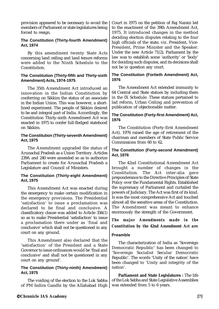provision appeared to be necessary to avoid the members of Parliament or state legislatures being forced to resign.

#### **The Constitution (Thirty-fourth Amendment) Act, 1974**

By this amendment twenty State Acts concerning land ceiling and land tenure reforms were added to the Ninth Schedule to the Constitution.

#### **The Constitution (Thirty-fifth and Thirty-sixth Amendment) Acts, 1974-1975**

The 35th Amendment Act introduced an innovation in the Indian Constitution by conferring on Sikkim the status of an associate in the Indian Union. This was however, a shortlined experiment. The people of Sikkim desired to be and integral part of India. Accordingly, the Constitution Thirty-sixth Amendment Act was enacted in 1975 to confer full-fledged statehood on Sikkim.

# **The Constitution (Thirty-seventh Amendment) Act, 1975**

The Amendment upgraded the status of Arunachal Pradesh as a Union Territory. Articles 239A and 240 were amended so as to authorize Parliament to create for Arunachal Pradesh a Legislature and Council of Ministers.

### **The Constitution (Thirty-eight Amendment) Act, 1975**

This Amendment Act was enacted during the emergency to make certain modification in the emergency provisions. The Presidential 'satisfaction' to issue a proclamation was declared to be final and conclusive. A classificatory clause was added to Article 356(1) so as to make Presidential 'satisfaction' to issue a proclamation there under as 'final and conclusive' which shall not be questioned in any court on any ground.

This Amendment also declared that the 'satisfaction' of the President and a State Governor to issue ordinances would be 'final and conclusive' and shall not be questioned in any court on any ground'.

# **The Constitution (Thirty-ninth) Amendment) Act, 1975**

The voiding of the election to the Lok Sabha of PM Indira Gandhi by the Allahabad High

Court in 1975 on the petition of Raj Narain led to the enactment of the 39th Amendment Act, 1975. It introduced changes in the method deciding election disputes relating to the four high officials of the state, viz. President, Vice-President, Prime Minister and the Speaker. Under the new Article 71(2), Parliament by the law was to establish some 'authority' or 'body' for deciding such disputes, and its decisions shall not be in question any court.

# **The Constitution (Fortieth Amendment) Act, 1976**

The Amendment Act extended immunity to 64 Central and State statues by including them in the IX Schedule. These statues pertained to lad reform, Urban Ceiling and prevention of publication of objectionable matter.

### **The Constitution (Forty-first Amendment) Act, 1976**

The Constitution (Forty-first Amendment Act), 1976 raised the age of retirement of the chairman and members of State Public Service Commissions from 60 to 62.

### **The Constitution (Forty-second Amendment) Act, 1976**

The 42nd Constitutional Amendment Act brought a number of changes in the Constitution. The Act inter-alia gave preponderance to the Directive Principles of State Policy over the Fundamental Rights. Established the supremacy of Parliament and curtailed the powers of Judiciary. The Act was first of its kind. Is was the most comprehensive Act and touched almost all the sensitive areas of the Constitution. The Amendment was meant to enhance enormously the strength of the Government.

*The major Amendments made in the Constitution by the 42nd Amendment Act are:*

# **Preamble**

The characterization of India as 'Sovereign Democratic Republic' has been changed to 'Sovereign Socialist Secular Democratic Republic'. The words 'Unity of the nation' have been changed to 'Unity and integrity of the nation'.

**Parliament and State Legislatures :** The life of the Lok Sabha and State Legislative Assemblies was extended from 5 to 6 years.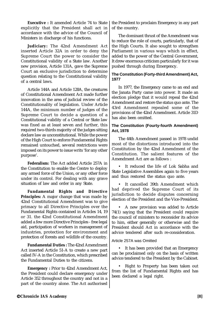**Executive :** It amended Article 74 to State explicitly that the President shall act in accordance with the advice of the Council of Ministers in discharge of his functions.

**Judiciary:** The 42nd Amendment Act inserted Article 32A in order to deny the Supreme Court the power to consider the Constitutional validity of a State law. Another new provision, Article 131A, gave the Supreme Court an exclusive jurisdiction to determine question relating to the Constitutional validity of a central laws.

Article 144A and Article 128A, the creatures of Constitutional Amendment Act made further innovation in the area of judicial review of the Constitutionality of legislation. Under Article 144A, the minimum number of judges of the Supreme Court to decide a question of a Constitutional validity of a Central or State law was fixed as at least seven and further, this required two-thirds majority of the judges sitting declare law as unconstitutional. While the power of the High Court to enforce Fundamental Rights remained untouched, several restrictions were imposed on its power to issue writs 'for any other purpose'.

**Federalism:** The Act added Article 257A in the Constitution to enable the Centre to deploy any armed force of the Union, or any other force under its control. For dealing with any grave situation of law and order in any State.

**Fundamental Rights and Directive Principles:** A major change that was made by 42nd Constitutional Amendment was to give primacy to all Directive Principles over the Fundamental Rights contained in Articles 14, 19 or 31. the 42nd Constitutional Amendment added a few more Directive Principles - free legal aid, participation of workers in management of industries, protection for environment and protection of forests and wildlife of the country.

**Fundamental Duties :** The 42nd Amendment Act inserted Article 51-A to create a new part called IV-A in the Constitution, which prescribed the Fundamental Duties to the citizens.

**Emergency :** Prior to 42nd Amendment Act, the President could declare emergency under Article 352 throughout the country and not in a part of the country alone. The Act authorised the President to proclaim Emergency in any part of the country.

The dominant thrust of the Amendment was to reduce the role of courts, particularly, that of the High Courts. It also sought to strengthen Parliament in various ways which in effect, added to the power of the Central Government, It drew enormous criticism particularly for it was pushed through during Emergency.

# **The Constitution (Forty-third Amendment) Act, 1977**

In 1977, the Emergency came to an end and the Janata Party came into power. It made an election pledge that it would repeal the 42nd Amendment and restore the status quo ante. The 43rd Amendment repealed some of the provisions of the 42nd Amendment. Article 31D has also been omitted.

# **The Constitution (Fourty-fourth Amendment) Act, 1978**

The 44th Amendment passed in 1978 undid most of the distortions introduced into the Constitution by the 42nd Amendment of the Constitution. The salient features of the Amendment Act are as follows :

• It reduced the life of Lok Sabha and State Legislative Assemblies again to five years and thus restored the status quo ante.

It cancelled 39th Amendment which had deprived the Supreme Court of its jurisdiction to decide disputes concerning election of the President and the Vice-President.

• A new provision was added to Article 74(1) saying that the President could require the council of ministers to reconsider its advice to him, either generally or otherwise and the President should Act in accordance with the advice tendered after such re-consideration.

# Article 257A was Omitted

• It has been provided that an Emergency can be proclaimed only on the basis of written advice tendered to the President by the Cabinet.

• Right to Property has been taken out from the list of Fundamental Rights and has been declared a legal right.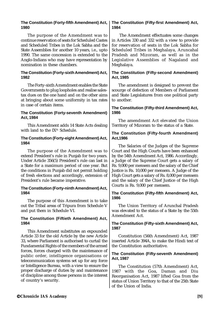### **The Constitution (Forty-fifth Amendment) Act, 1980**

The purpose of the Amendment was to continue reservation of seats for Scheduled Castes and Scheduled Tribes in the Lok Sabha and the State Assemblies for another 10 years, i.e., upto 1990. The same concession is extended to the Anglo-Indians who may have representation by nomination in these chambers.

### **The Constitution (Forty-sixth Amendment) Act, 1982**

The Forty-sixth Amendment enables the State Governments to plug loopholes and realise salestax dues on the one hand and on the other aims at bringing about some uniformity in tax rates in case of certain items.

# **The Constitution (Forty-seventh Amendment) Act, 1984**

This Amendment adds 14 State Acts dealing with land to the IX<sup>th</sup> Schedule.

### **The Constitution (Forty-eight Amendment) Act, 1984**

The purpose of the Amendment was to extend President's rule in Punjab for two years. Under Article 356(5) President's rule can last in a State for a maximum period of one year. But the conditions in Punjab did not permit holding of fresh elections and accordingly, extension of President's rule became imperative.

#### **The Constitution (Forty-ninth Amendment) Act, 1984**

The purpose of this Amendment is to take out the Tribal areas of Tripura from Schedule V and put them in Schedule VI.

### **The Constitution (Fiftieth Amendment) Act, 1984**

This Amendment substitutes an expounded Article 33 for the old Article by the new Article 33, where Parliament is authorised to curtail the Fundamental Rights of the members of the armed forces, forces charged with the maintenance of public order, intelligence organisations or telecommunication systems set up for any force or Intelligence Bureau, with a view to ensure the proper discharge of duties by and maintenance of discipline among those persons in the interest of country's security.

# **The Constitution (Fifty-first Amendment) Act, 1984**

 The Amendment effectuates some changes in Articles 330 and 332 with a view to provide for reservation of seats in the Lok Sabha for Scheduled Tribes in Meghalaya, Aruncahal Pradesh and Mizoram, as well as in the Legislative Assemblies of Nagaland and Meghalaya.

# **The Constitution (Fifty-second Amendment) Act, 1985**

The amendment is designed to prevent the scourge of defection of Members of Parliament and State Legislatures from one political party to another.

# **The Constitution (Fifty-third Amendment) Act, 1986**

The amendment Act elevated the Union Territory of Mizoram to the status of a State.

# **The Constitution (Fifty-fourth Amendment) Act,1986**

The Salaries of the Judges of the Supreme Court and the High Courts have been enhanced by the 54th Amendment Act, 1986. Accordingly, a Judge of the Supreme Court gets a salary of Rs. 9,000 per mensem and the salary of the Chief Justice is Rs. 10,000 per mensem. A Judge of the High Court gets a salary of Rs. 8,000 per mensem and the salary of the Chief Justice of the High Courts is Rs. 9,000 per mensem.

### **The Constitution (Fifty-fifth Amendment) Act, 1986**

The Union Territory of Arunchal Pradesh was elevated to the status of a State by the 55th Amendment Act.

# **The Constitution (Fifty-sixth Amendment) Act, 1987**

Constitution (56th Amendment) Act, 1987 inserted Article 394A, to make the Hindi text of the Constitution authoritative.

### **The Constitution (Fifty-seventh Amendment) Act, 1987**

The Constitution (57th Amendment) Act, 1987 with the Goa, Daman and Diu Reorganisation Act, 1987 lifted Goa from the status of Union Territory to that of the 25th State of the Union of India.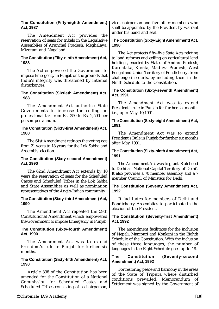| The Constitution (Fifty-eighth Amendment)<br>Act, 1987                                                                                                       | vice-chairperson and five other members who<br>shall be appointed by the President by warrant                                                                                                    |
|--------------------------------------------------------------------------------------------------------------------------------------------------------------|--------------------------------------------------------------------------------------------------------------------------------------------------------------------------------------------------|
| The Amendment Act provides the<br>reservation of seats for tribals in the Legislative<br>Assemblies of Arunchal Pradesh, Meghalaya,<br>Mizoram and Nagaland. | under his hand and seal.<br>The Constitution (Sixty-Eight Amendment) Act,<br>1990                                                                                                                |
| The Constitution (Fifty-ninth Amendment) Act,<br>1988<br>The Act empowered the Government to                                                                 | The Act protects fifty-five State Acts relating<br>to land reforms and ceiling on agricultural land<br>holdings, enacted by States of Andhra Pradesh,<br>Karnataka, Kerala, Madhya Pradesh, West |
| impose Emergency in Punjab on the grounds that<br>India's integrity was threatened by internal<br>disturbances.                                              | Bengal and Union Territory of Pondicherry, from<br>challenge in courts, by including them in the<br>Ninth Schedule to the Constitution.                                                          |
| The Constitution (Sixtieth Amendment) Act,<br>1988                                                                                                           | The Constitution (Sixty-seventh Amendment)<br>Act, 1991                                                                                                                                          |
| The Amendment Act authorise State<br>Governments to increase the ceiling on<br>professional tax from Rs. 250 to Rs. 2,500 per                                | The Amendment Act was to extend<br>President's rule in Punjab for further six months<br>i.e., upto May 10,1991.                                                                                  |
| person per annum.                                                                                                                                            | The Constitution (Sixty-eight Amendment) Act,<br>1991                                                                                                                                            |
| The Constitution (Sixty-first Amendment) Act,<br>1988                                                                                                        | The Amendment Act was to extend                                                                                                                                                                  |
| The 61st Amendment reduces the voting age<br>from 21 years to 18 years for the Lok Sabha and                                                                 | President's Rule in Punjab for further six months<br>after May 1991.                                                                                                                             |
| Assembly election.                                                                                                                                           | The Constitution (Sixty-ninth Amendment) Act,<br>1991                                                                                                                                            |
| The Constitution (Sixty-second Amendment)<br>Act, 1990                                                                                                       | The Amendment Act was to grant Statehood                                                                                                                                                         |
| The 62nd Amendment Act extends by 10<br>years the reservation of seats for the Scheduled<br>Castes and Scheduled Tribes in the Lok Sabha                     | to Delhi as 'National Capital Territory of Delhi'.<br>It also provides a 70 member assembly and a 7<br>member Council of Ministers for Delhi.                                                    |
| and State Assemblies as well as nomination<br>representatives of the Anglo-Indian community.                                                                 | The Constitution (Seventy Amendment) Act,<br>1992                                                                                                                                                |
| The Constitution (Sixty-third Amendment) Act,<br>1990                                                                                                        | It facilitates for members of Delhi and<br>Pondicherry Assemblies to participate in the<br>election of the President.                                                                            |
| The Amendment Act repealed the 59th<br>Constitutional Amendment which empowered<br>the Government to impose Emergency in Punjab.                             | The Constitution (Seventy-first Amendment)<br>Act, 1992                                                                                                                                          |
| The Constitution (Sixty-fourth Amendment)<br>Act, 1990                                                                                                       | The amendment facilitates for the inclusion<br>of Nepali, Manipuri and Konkani in the Eighth                                                                                                     |
| The Amendment Act was to extend<br>President's rule in Punjab for further six                                                                                | Schedule of the Constitution. With the inclusion<br>of these three languages, the number of<br>languages in the Fight Cehedule gees up to                                                        |

#### **The Constitution (Sixty-fifth Amendment) Act, The Constitution (Seventy-second Amendment) Act, 1992**

languages in the Eight Schedule goes up to 18.

For restoring peace and harmony in the areas of the State of Tripura where disturbed conditions prevailed, Memorandum of Settlement was signed by the Government of

#### **Chronicle IAS Academy [10]**

Article 338 of the Constitution has been amended for the Constitution of a National Commission for Scheduled Castes and Scheduled Tribes consisting of a chairperson,

months.

**1990**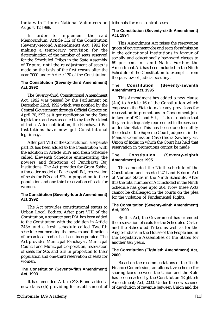India with Tripura National Volunteers on August 12,1988.

In order to implement the said Memorandum, Article 332 of the Constitution (Seventy-second Amendment) Act, 1992 for making a temporary provision for the determination of the number of seats reserved for the Scheduled Tribes in the State Assembly of Tripura, until the re adjustment of seats is made on the basis of the first census after the year 2000 under Article 170 of the Constitution.

#### **The Constitution (Seventy-third Amendment) Act, 1992**

The Seventy-third Constitutional Amendment Act, 1992 was passed by the Parliament on December 22nd, 1992 which was notified by the Central Government through Official Gazette on April 20,1993 as it got rectification by the State legislatures and was assented to by the President of India. After notification, the Panchayati Raj Institutions have now got Constitutional legitimacy.

After part VIII of the Constitution, a separate part IX has been added to the Constitution with the addition in Article 243A and fresh Schedule called Eleventh Schedule enumerating the powers and functions of Panchayti Raj Institutions. The Act provides for Gram Sabha, a three-tier model of Panchayati Raj, reservation of seats for SCs and STs in proportion to their population and one-third reservation of seats for women.

### **The Constitution (Seventy-fourth Amendment) Act, 1992**

The Act provides constitutional status to Urban Local Bodies. After part VIII of the Constitution, a separate part IXA has been added to the Constitution with the addition in Article 243A and a fresh schedule called Twelfth schedule enumerating the powers and functions of urban local bodies has been incorporated. The Act provides Municipal Panchayat, Municipal Council and Municipal Corporation, reservation of seats for SCs and STs in proportion to their population and one-third reservation of seats for women.

### **The Constitution (Seventy-fifth Amendment) Act, 1993**

It has amended Article 323-B and added a new clause (h) providing for establishment of

tribunals for rent control cases.

# **The Constitution (Seventy-sixth Amendment) Act, 1994**

This Amendment Act raises the reservation quota of government jobs and seats for admission in the educational institutions in favour of socially and educationally backward classes to 69 per cent in Tamil Nadu. Further, the Amendment Act has been included in the Ninth Schedule of the Constitution to exempt it from the purview of judicial scrutiny.

# **The Constitution (Seventy-seventh Amendment) Act, 1995**

This Amendment has added a new clause (4-a) to Article 16 of the Constitution which empowers the State to make any provisions for reservation in promotions in Government jobs in favour of SCs and STs, if it is of opinion that they are inadequately represented in the services under the State. This has been done to nullify the effect of the Supreme Court Judgment in the Mandal Commission Case (Indra Sawhney vs. Union of India) in which the Court has held that reservation in promotions cannot be made.

# **The Constitution (Seventy-eighth Amendment) act 1995**

This amended the Ninth schedule of the Constitution and inserted 27 Land Reform Act of Various States in the Ninth Schedule. After this the total number of Act included in the Ninth Schedule has gone upto 284. Now these Acts cannot be challenged in the courts on the plea for the violation of Fundamental Rights.

# **The Constitution (Seventy-ninth Amendment) Act, 1999**

By this Act, the Government has extended the reservation of seats for the Scheduled Castes and the Scheduled Tribes as well as for the Anglo-Indians in the House of the People and in the Legislative Assemblies of the States for another ten years.

# **The Constitution (Eightieth Amendment) Act, 2000**

Based on the recommendations of the Tenth Finance Commission, an alternative scheme for sharing taxes between the Union and the State has been enacted by the Constitution (Eightieth Amendment) Act, 2000. Under the new scheme of devolution of revenue between Union and the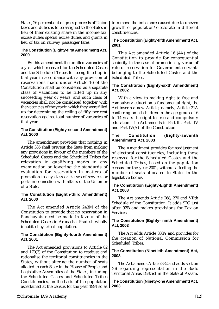States, 26 per cent out of gross proceeds of Union taxes and duties is to be assigned to the States in lieu of their existing share in the income-tax, excise duties special excise duties and grants in lieu of tax on railway passenger fares.

# **The Constitution (Eighty-first Amendment) Act, 2000**

By this amendment the unfilled vacancies of a year which reserved for the Scheduled Castes and the Scheduled Tribes for being filled up in that year in accordance with any provision of reservations made under Article 16 of the Constitution shall be considered as a separate class of vacancies to be filled up in any succeeding year or years, and such class of vacancies shall not be considered together with the vacancies of the year in which they were filled up for determining the ceiling of fifty per cent reservation against total number of vacancies of that year.

### **The Constitution (Eighty-second Amendment) Act, 2000**

The amendment provides that nothing in Article 335 shall prevent the State from making any provisions in favour of the members of the Scheduled Castes and the Scheduled Tribes for relaxation in qualifying marks in any examination or lowering the standards of evaluation for reservation in matters of promotion to any class or classes of services or posts in connection with affairs of the Union or of a State.

#### **The Constitution (Eighth-third Amendment) Act, 2000**

The Act amended Article 243M of the Constitution to provide that no reservation in Panchayats need be made in favour of the Scheduled Castes in Arunachal Pradesh wholly inhabited by tribal population.

#### **The Constitution (Eighty-fourth Amendment) Act, 2001**

The Act amended provisions to Article 82 and 170(3) of the Constitution to readjust and rationalise the territorial constituencies in the States, without altering the number of seats allotted to each State in the House of People and Legislative Assemblies of the States, including the Scheduled Castes and Scheduled Tribes Constituencies, on the basis of the population ascertained at the census for the year 1991 so as

to remove the imbalance caused due to uneven growth of population/electorate in different constituencies.

# **The Constitution (Eighty-fifth Amendment) Act, 2001**

This Act amended Article 16 (4A) of the Constitution to provide for consequential seniority in the case of promotion by virtue of rule of reservation for Government servants belonging to the Scheduled Castes and the Scheduled Tribes.

# **The Constitution (Eighty-sixth Amendment) Act, 2002**

With a view to making right to free and compulsory education a fundamental right, the Act inserts a new Article, namely, Article 21A conferring on all children in the age group of 6 to 14 years the right to free and compulsory education. The Act amends in Part-III, Part –IV and Part-IV(A) of the Constitution.

#### **The Constitution (Eighty-seventh Amendment) Act, 2003**

The Amendment provides for readjustment of electoral constituencies, including those reserved for the Scheduled Castes and the Scheduled Tribes, based on the population census for the year 2001, without affecting the number of seats allocated to States in the legislative bodies.

# **The Constitution (Eighty-Eighth Amendment) Act, 2003**

The Act amends Article 268, 270 and VIIth Schedule of the Constitution. It adds 92C just after 92B and makes provisions for Tax on Services.

### **The Constitution (Eighty- ninth Amendment) Act, 2003**

The Act adds Article 338A and provides for the creation of National Commission for Scheduled Tribes.

### **The Constitution (Ninetieth Amendment) Act, 2003**

The Act amends Article 332 and adds section (6) regarding representation in the Bodo Territorial Areas District in the State of Assam.

**The Constitution (Ninety-one Amendment) Act, 2003**

# **Chronicle IAS Academy [12]**